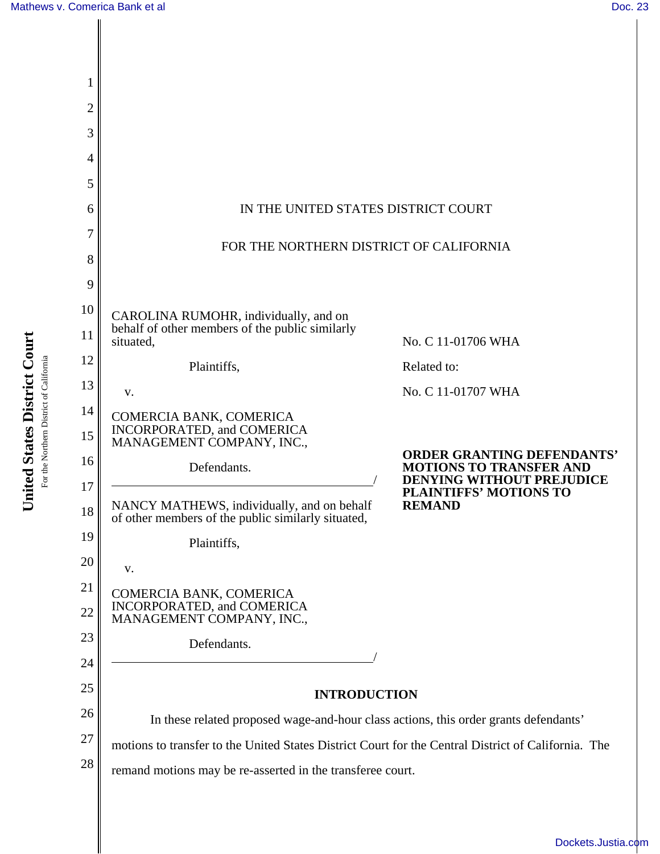║

| 1              |                                                                                                                                                    |                                                                     |  |  |  |  |  |  |
|----------------|----------------------------------------------------------------------------------------------------------------------------------------------------|---------------------------------------------------------------------|--|--|--|--|--|--|
| $\overline{2}$ |                                                                                                                                                    |                                                                     |  |  |  |  |  |  |
| 3              |                                                                                                                                                    |                                                                     |  |  |  |  |  |  |
| 4              |                                                                                                                                                    |                                                                     |  |  |  |  |  |  |
| 5              |                                                                                                                                                    |                                                                     |  |  |  |  |  |  |
| 6              | IN THE UNITED STATES DISTRICT COURT                                                                                                                |                                                                     |  |  |  |  |  |  |
| 7<br>8         | FOR THE NORTHERN DISTRICT OF CALIFORNIA                                                                                                            |                                                                     |  |  |  |  |  |  |
| 9              |                                                                                                                                                    |                                                                     |  |  |  |  |  |  |
| 10             |                                                                                                                                                    |                                                                     |  |  |  |  |  |  |
| 11             | CAROLINA RUMOHR, individually, and on<br>behalf of other members of the public similarly<br>situated,                                              | No. C 11-01706 WHA                                                  |  |  |  |  |  |  |
| 12             | Plaintiffs,                                                                                                                                        | Related to:                                                         |  |  |  |  |  |  |
| 13             | V.                                                                                                                                                 | No. C 11-01707 WHA                                                  |  |  |  |  |  |  |
| 14<br>15       | COMERCIA BANK, COMERICA<br>INCORPORATED, and COMERICA                                                                                              |                                                                     |  |  |  |  |  |  |
| 16             | MANAGEMENT COMPANY, INC.,<br>Defendants.                                                                                                           | <b>ORDER GRANTING DEFENDANTS'</b><br><b>MOTIONS TO TRANSFER AND</b> |  |  |  |  |  |  |
| 17             |                                                                                                                                                    | <b>DENYING WITHOUT PREJUDICE</b>                                    |  |  |  |  |  |  |
| 18             | <b>PLAINTIFFS' MOTIONS TO</b><br>NANCY MATHEWS, individually, and on behalf<br><b>REMAND</b><br>of other members of the public similarly situated, |                                                                     |  |  |  |  |  |  |
| 19             | Plaintiffs,                                                                                                                                        |                                                                     |  |  |  |  |  |  |
| 20             | V.                                                                                                                                                 |                                                                     |  |  |  |  |  |  |
| 21<br>22       | COMERCIA BANK, COMERICA<br>INCORPORATED, and COMERICA<br>MANAGEMENT COMPANY, INC.,                                                                 |                                                                     |  |  |  |  |  |  |
| 23             | Defendants.                                                                                                                                        |                                                                     |  |  |  |  |  |  |
| 24             |                                                                                                                                                    |                                                                     |  |  |  |  |  |  |
| 25             | <b>INTRODUCTION</b>                                                                                                                                |                                                                     |  |  |  |  |  |  |
| 26             | In these related proposed wage-and-hour class actions, this order grants defendants'                                                               |                                                                     |  |  |  |  |  |  |
| 27             | motions to transfer to the United States District Court for the Central District of California. The                                                |                                                                     |  |  |  |  |  |  |
| 28             | remand motions may be re-asserted in the transferee court.                                                                                         |                                                                     |  |  |  |  |  |  |
|                |                                                                                                                                                    |                                                                     |  |  |  |  |  |  |

United States District Court **United States District Court** For the Northern District of California For the Northern District of California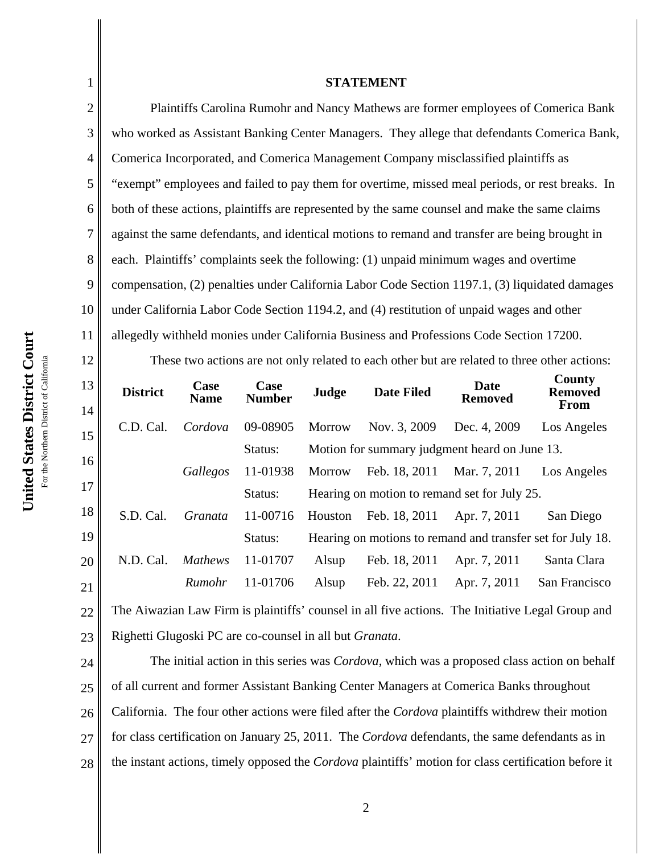1

2

3

## **STATEMENT**

Plaintiffs Carolina Rumohr and Nancy Mathews are former employees of Comerica Bank who worked as Assistant Banking Center Managers. They allege that defendants Comerica Bank, Comerica Incorporated, and Comerica Management Company misclassified plaintiffs as "exempt" employees and failed to pay them for overtime, missed meal periods, or rest breaks. In both of these actions, plaintiffs are represented by the same counsel and make the same claims against the same defendants, and identical motions to remand and transfer are being brought in each. Plaintiffs' complaints seek the following: (1) unpaid minimum wages and overtime compensation, (2) penalties under California Labor Code Section 1197.1, (3) liquidated damages under California Labor Code Section 1194.2, and (4) restitution of unpaid wages and other allegedly withheld monies under California Business and Professions Code Section 17200. These two actions are not only related to each other but are related to three other actions:

| 13<br>14 | <b>District</b>                                                                                  | Case<br><b>Name</b> | Case<br><b>Number</b> | Judge         | <b>Date Filed</b>                                          | <b>Date</b><br><b>Removed</b> | County<br><b>Removed</b><br><b>From</b> |  |
|----------|--------------------------------------------------------------------------------------------------|---------------------|-----------------------|---------------|------------------------------------------------------------|-------------------------------|-----------------------------------------|--|
| 15       | C.D. Cal.                                                                                        | Cordova             | 09-08905              | <b>Morrow</b> | Nov. 3, 2009                                               | Dec. 4, 2009                  | Los Angeles                             |  |
|          |                                                                                                  |                     | Status:               |               | Motion for summary judgment heard on June 13.              |                               |                                         |  |
| 16       |                                                                                                  | Gallegos            | 11-01938              | Morrow        | Feb. 18, 2011                                              | Mar. 7, 2011                  | Los Angeles                             |  |
| 17       |                                                                                                  |                     | Status:               |               | Hearing on motion to remand set for July 25.               |                               |                                         |  |
| 18       | S.D. Cal.                                                                                        | Granata             | 11-00716              | Houston       | Feb. 18, 2011                                              | Apr. 7, 2011                  | San Diego                               |  |
| 19       |                                                                                                  |                     | Status:               |               | Hearing on motions to remand and transfer set for July 18. |                               |                                         |  |
| 20       | N.D. Cal.                                                                                        | <b>Mathews</b>      | 11-01707              | Alsup         | Feb. 18, 2011                                              | Apr. 7, 2011                  | Santa Clara                             |  |
| 21       |                                                                                                  | Rumohr              | 11-01706              | Alsup         | Feb. 22, 2011                                              | Apr. 7, 2011                  | San Francisco                           |  |
| 22       | The Aiwazian Law Firm is plaintiffs' counsel in all five actions. The Initiative Legal Group and |                     |                       |               |                                                            |                               |                                         |  |
| 23       | Righetti Glugoski PC are co-counsel in all but <i>Granata</i> .                                  |                     |                       |               |                                                            |                               |                                         |  |

24 25 26 27 28 The initial action in this series was *Cordova*, which was a proposed class action on behalf of all current and former Assistant Banking Center Managers at Comerica Banks throughout California. The four other actions were filed after the *Cordova* plaintiffs withdrew their motion for class certification on January 25, 2011. The *Cordova* defendants, the same defendants as in the instant actions, timely opposed the *Cordova* plaintiffs' motion for class certification before it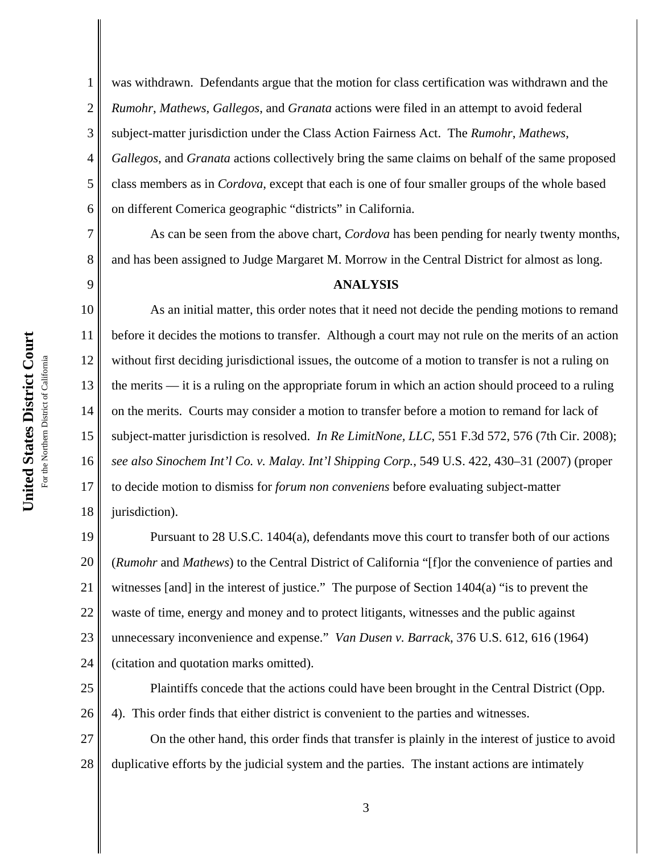7

8

9

1 2 3 4 5 6 was withdrawn. Defendants argue that the motion for class certification was withdrawn and the *Rumohr*, *Mathews*, *Gallegos*, and *Granata* actions were filed in an attempt to avoid federal subject-matter jurisdiction under the Class Action Fairness Act. The *Rumohr*, *Mathews*, *Gallegos*, and *Granata* actions collectively bring the same claims on behalf of the same proposed class members as in *Cordova*, except that each is one of four smaller groups of the whole based on different Comerica geographic "districts" in California.

As can be seen from the above chart, *Cordova* has been pending for nearly twenty months, and has been assigned to Judge Margaret M. Morrow in the Central District for almost as long.

## **ANALYSIS**

10 11 12 13 14 15 16 17 18 As an initial matter, this order notes that it need not decide the pending motions to remand before it decides the motions to transfer. Although a court may not rule on the merits of an action without first deciding jurisdictional issues, the outcome of a motion to transfer is not a ruling on the merits — it is a ruling on the appropriate forum in which an action should proceed to a ruling on the merits. Courts may consider a motion to transfer before a motion to remand for lack of subject-matter jurisdiction is resolved. *In Re LimitNone, LLC*, 551 F.3d 572, 576 (7th Cir. 2008); *see also Sinochem Int'l Co. v. Malay. Int'l Shipping Corp.*, 549 U.S. 422, 430–31 (2007) (proper to decide motion to dismiss for *forum non conveniens* before evaluating subject-matter jurisdiction).

19 20 21 22 23 24 Pursuant to 28 U.S.C. 1404(a), defendants move this court to transfer both of our actions (*Rumohr* and *Mathews*) to the Central District of California "[f]or the convenience of parties and witnesses [and] in the interest of justice." The purpose of Section 1404(a) "is to prevent the waste of time, energy and money and to protect litigants, witnesses and the public against unnecessary inconvenience and expense." *Van Dusen v. Barrack*, 376 U.S. 612, 616 (1964) (citation and quotation marks omitted).

25 26 Plaintiffs concede that the actions could have been brought in the Central District (Opp. 4). This order finds that either district is convenient to the parties and witnesses.

27 28 On the other hand, this order finds that transfer is plainly in the interest of justice to avoid duplicative efforts by the judicial system and the parties. The instant actions are intimately